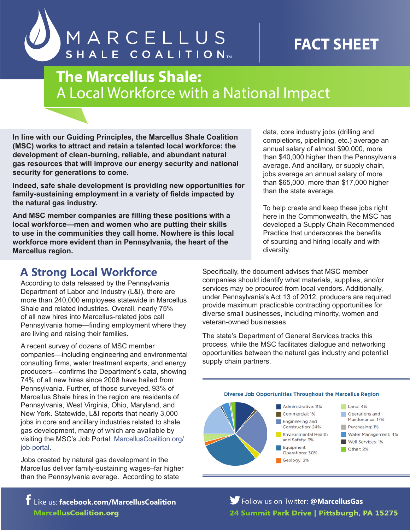# MARCELLUS<br>SHALE COALITION

## **FACT SHEET**

### **The Marcellus Shale:** A Local Workforce with a National Impact

**In line with our Guiding Principles, the Marcellus Shale Coalition (MSC) works to attract and retain a talented local workforce: the development of clean-burning, reliable, and abundant natural gas resources that will improve our energy security and national security for generations to come.** 

**Indeed, safe shale development is providing new opportunities for family-sustaining employment in a variety of fields impacted by the natural gas industry.** 

**And MSC member companies are filling these positions with a local workforce—men and women who are putting their skills to use in the communities they call home. Nowhere is this local workforce more evident than in Pennsylvania, the heart of the Marcellus region.**

data, core industry jobs (drilling and completions, pipelining, etc.) average an annual salary of almost \$90,000, more than \$40,000 higher than the Pennsylvania average. And ancillary, or supply chain, jobs average an annual salary of more than \$65,000, more than \$17,000 higher than the state average.

To help create and keep these jobs right here in the Commonwealth, the MSC has developed a Supply Chain Recommended Practice that underscores the benefits of sourcing and hiring locally and with diversity.

According to data released by the Pennsylvania Department of Labor and Industry (L&I), there are more than 240,000 employees statewide in Marcellus Shale and related industries. Overall, nearly 75% of all new hires into Marcellus-related jobs call Pennsylvania home—finding employment where they are living and raising their families.

A recent survey of dozens of MSC member companies—including engineering and environmental consulting firms, water treatment experts, and energy producers—confirms the Department's data, showing 74% of all new hires since 2008 have hailed from Pennsylvania. Further, of those surveyed, 93% of Marcellus Shale hires in the region are residents of Pennsylvania, West Virginia, Ohio, Maryland, and New York. Statewide, L&I reports that nearly 3,000 jobs in core and ancillary industries related to shale gas development, many of which are available by visiting the MSC's Job Portal: MarcellusCoalition.org/ job-portal.

Jobs created by natural gas development in the Marcellus deliver family-sustaining wages–far higher than the Pennsylvania average. According to state

**A Strong Local Workforce** Specifically, the document advises that MSC member companies should identify what materials, supplies, and/or services may be procured from local vendors. Additionally, under Pennsylvania's Act 13 of 2012, producers are required provide maximum practicable contracting opportunities for diverse small businesses, including minority, women and veteran-owned businesses.

> The state's Department of General Services tracks this process, while the MSC facilitates dialogue and networking opportunities between the natural gas industry and potential supply chain partners.



**F** Like us: **facebook.com/MarcellusCoalition** Service Communist Communist Communist Communist Communist Communist Communist Communist Communist Communist Communist Communist Communist Communist Communist Communist Communi **MarcellusCoalition.org**